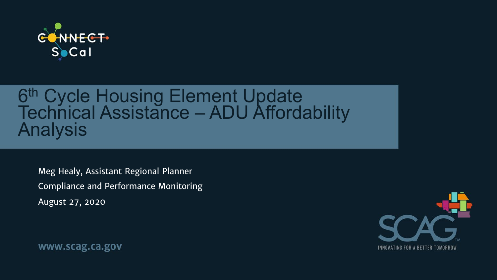

# 6<sup>th</sup> Cycle Housing Element Update<br>Technical Assistance – ADU Affordability<br>Analysis

Meg Healy, Assistant Regional Planner Compliance and Performance Monitoring August 27, 2020

www.scag.ca.gov

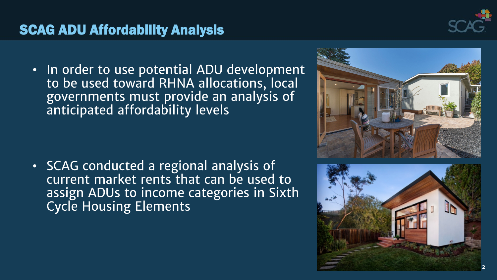

#### SCAG ADU Affordability Analysis

• In order to use potential ADU development to be used toward RHNA allocations, local governments must provide an analysis of anticipated affordability levels

• SCAG conducted a regional analysis of current market rents that can be used to assign ADUs to income categories in Sixth Cycle Housing Elements



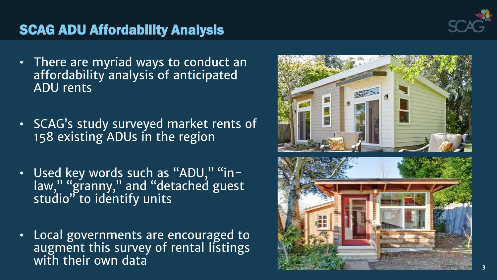

#### SCAG ADU Affordability Analysis

- There are myriad ways to conduct an affordability analysis of anticipated ADU rents
- SCAG's study surveyed market rents of 158 existing ADUs in the region
- Used key words such as "ADU," "inlaw," "granny," and "detached guest studio" to identify units
- Local governments are encouraged to augment this survey of rental listings with their own data

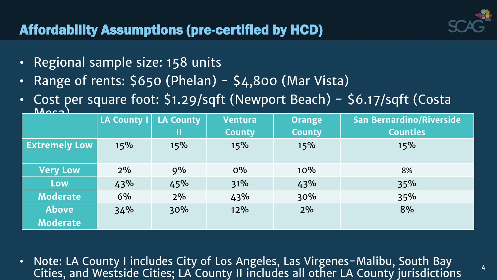**4**

### Affordability Assumptions (pre-certified by HCD)

- Regional sample size: 158 units
- Range of rents:  $$650$  (Phelan)  $$4,800$  (Mar Vista)
- Cost per square foot: \$1.29/sqft (Newport Beach) \$6.17/sqft (Costa

| $M$ $\sim$           |                    |                  |                |               |                                 |  |
|----------------------|--------------------|------------------|----------------|---------------|---------------------------------|--|
|                      | <b>LA County I</b> | <b>LA County</b> | <b>Ventura</b> | <b>Orange</b> | <b>San Bernardino/Riverside</b> |  |
|                      |                    | Ш                | <b>County</b>  | <b>County</b> | <b>Counties</b>                 |  |
| <b>Extremely Low</b> | 15%                | 15%              | 15%            | 15%           | 15%                             |  |
|                      |                    |                  |                |               |                                 |  |
| <b>Very Low</b>      | 2%                 | 9%               | $O\%$          | 10%           | 8%                              |  |
| Low                  | 43%                | 45%              | 31%            | 43%           | 35%                             |  |
| <b>Moderate</b>      | 6%                 | 2%               | 43%            | 30%           | 35%                             |  |
| <b>Above</b>         | 34%                | 30%              | 12%            | 2%            | 8%                              |  |
| <b>Moderate</b>      |                    |                  |                |               |                                 |  |

• Note: LA County I includes City of Los Angeles, Las Virgenes-Malibu, South Bay Cities, and Westside Cities; LA County II includes all other LA County jurisdictions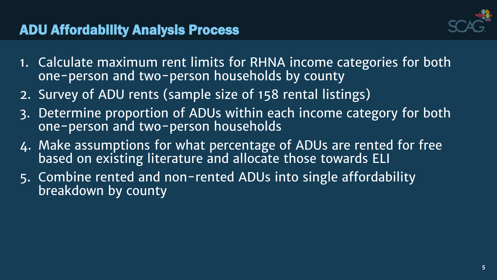

- 1. Calculate maximum rent limits for RHNA income categories for both one-person and two-person households by county
- 2. Survey of ADU rents (sample size of 158 rental listings)
- 3. Determine proportion of ADUs within each income category for both one-person and two-person households
- 4. Make assumptions for what percentage of ADUs are rented for free based on existing literature and allocate those towards ELI
- 5. Combine rented and non-rented ADUs into single affordability breakdown by county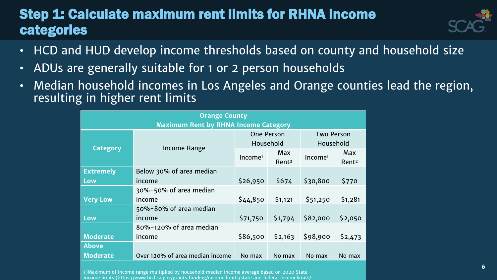#### Step 1: Calculate maximum rent limits for RHNA income categories



- HCD and HUD develop income thresholds based on county and household size
- ADUs are generally suitable for 1 or 2 person households
- Median household incomes in Los Angeles and Orange counties lead the region, resulting in higher rent limits

| <b>Orange County</b>                        |                                 |                     |                   |                     |                   |
|---------------------------------------------|---------------------------------|---------------------|-------------------|---------------------|-------------------|
| <b>Maximum Rent by RHNA Income Category</b> |                                 |                     |                   |                     |                   |
|                                             |                                 | <b>One Person</b>   |                   | <b>Two Person</b>   |                   |
| <b>Category</b>                             | Income Range                    | Household           |                   | Household           |                   |
|                                             |                                 | Income <sup>1</sup> | <b>Max</b>        | Income <sup>1</sup> | <b>Max</b>        |
|                                             |                                 |                     | Rent <sup>2</sup> |                     | Rent <sup>2</sup> |
| <b>Extremely</b>                            | Below 30% of area median        |                     |                   |                     |                   |
| Low                                         | income                          | \$26,950            | \$674             | \$30,800            | \$770             |
|                                             | 30%-50% of area median          |                     |                   |                     |                   |
| <b>Very Low</b>                             | income                          | \$44,850            | \$1,121           | \$51,250            | \$1,281           |
|                                             | 50%-80% of area median          |                     |                   |                     |                   |
| Low                                         | income                          | \$71,750            | \$1,794           | \$82,000            | \$2,050           |
|                                             | 80%-120% of area median         |                     |                   |                     |                   |
| <b>Moderate</b>                             | income                          | \$86,500            | \$2,163           | \$98,900            | \$2,473           |
| <b>Above</b>                                |                                 |                     |                   |                     |                   |
| <b>Moderate</b>                             | Over 120% of area median income | No max              | No max            | No max              | No max            |

1)Maximum of income range multiplied by household median income average based on 2020 State income limits (https://www.hcd.ca.gov/grants‐funding/income‐limits/state‐and‐federal‐incomelimits/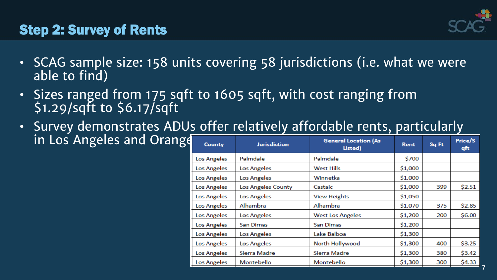

**7**

#### Step 2: Survey of Rents

- SCAG sample size: 158 units covering 58 jurisdictions (i.e. what we were able to find)
- Sizes ranged from 175 sqft to 1605 sqft, with cost ranging from \$1.29/sqft to \$6.17/sqft
- Survey demonstrates ADUs offer relatively affordable rents, particularly in Los Angeles and Orange

| <b>County</b>      | <b>Jurisdiction</b> | <b>General Location (As</b><br>Listed) | <b>Rent</b> | Sq Ft | Price/S<br>qft |
|--------------------|---------------------|----------------------------------------|-------------|-------|----------------|
| <b>Los Angeles</b> | Palmdale            | Palmdale                               | \$700       |       |                |
| Los Angeles        | Los Angeles         | <b>West Hills</b>                      | \$1,000     |       |                |
| Los Angeles        | Los Angeles         | Winnetka                               | \$1,000     |       |                |
| Los Angeles        | Los Angeles County  | Castaic                                | \$1,000     | 399   | \$2.51         |
| Los Angeles        | Los Angeles         | <b>View Heights</b>                    | \$1,050     |       |                |
| Los Angeles        | Alhambra            | Alhambra                               | \$1,070     | 375   | \$2.85         |
| Los Angeles        | Los Angeles         | <b>West Los Angeles</b>                | \$1,200     | 200   | \$6.00         |
| Los Angeles        | <b>San Dimas</b>    | <b>San Dimas</b>                       | \$1,200     |       |                |
| Los Angeles        | Los Angeles         | Lake Balboa                            | \$1,300     |       |                |
| Los Angeles        | Los Angeles         | North Hollywood                        | \$1,300     | 400   | \$3.25         |
| Los Angeles        | Sierra Madre        | Sierra Madre                           | \$1,300     | 380   | \$3.42         |
| <b>Los Angeles</b> | Montebello          | Montebello                             | \$1,300     | 300   | \$4.33         |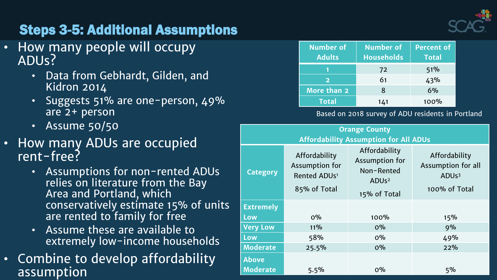

### Steps 3-5: Additional Assumptions

- How many people will occupy ADUs?
	- Data from Gebhardt, Gilden, and Kidron 2014
	- Suggests 51% are one-person, 49% are 2+ person
	- Assume 50/50
- How many ADUs are occupied rent-free?
	- Assumptions for non-rented ADUs relies on literature from the Bay Area and Portland, which conservatively estimate 15% of units are rented to family for free
	- Assume these are available to extremely low-income households
- Combine to develop affordability assumption

| <b>Number of</b><br><b>Adults</b> | <b>Number of</b><br><b>Households</b> | <b>Percent of</b><br><b>Total</b> |
|-----------------------------------|---------------------------------------|-----------------------------------|
|                                   | 72                                    | 51%                               |
| $\mathbf{p}$                      | 61                                    | 43%                               |
| More than 2                       | 8                                     | 6%                                |
| <b>Total</b>                      | 141                                   | 100%                              |

#### Based on 2018 survey of ADU residents in Portland

| <b>Orange County</b>                         |                                                                             |                                                                                               |                                                                           |  |  |
|----------------------------------------------|-----------------------------------------------------------------------------|-----------------------------------------------------------------------------------------------|---------------------------------------------------------------------------|--|--|
| <b>Affordability Assumption for All ADUs</b> |                                                                             |                                                                                               |                                                                           |  |  |
| <b>Category</b>                              | Affordability<br>Assumption for<br>Rented ADUs <sup>1</sup><br>85% of Total | Affordability<br>Assumption for<br>Non-Rented<br>ADU <sub>s<sup>2</sup></sub><br>15% of Total | Affordability<br>Assumption for all<br>ADU <sub>s3</sub><br>100% of Total |  |  |
| <b>Extremely</b>                             |                                                                             |                                                                                               |                                                                           |  |  |
| Low                                          | $0\%$                                                                       | 100%                                                                                          | 15%                                                                       |  |  |
| <b>Very Low</b>                              | 11%                                                                         | $O\%$                                                                                         | 9%                                                                        |  |  |
| Low                                          | 58%                                                                         | $O\%$                                                                                         | 49%                                                                       |  |  |
| <b>Moderate</b>                              | 25.5%                                                                       | $O\%$                                                                                         | 22%                                                                       |  |  |
| <b>Above</b><br><b>Moderate</b>              | 5.5%                                                                        | $0\%$                                                                                         | 5%                                                                        |  |  |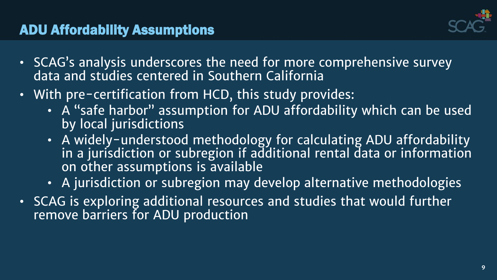

#### ADU Affordability Assumptions

- SCAG's analysis underscores the need for more comprehensive survey data and studies centered in Southern California
- With pre-certification from HCD, this study provides:
	- A "safe harbor" assumption for ADU affordability which can be used by local jurisdictions
	- A widely-understood methodology for calculating ADU affordability in a jurisdiction or subregion if additional rental data or information on other assumptions is available
	- A jurisdiction or subregion may develop alternative methodologies
- SCAG is exploring additional resources and studies that would further remove barriers for ADU production